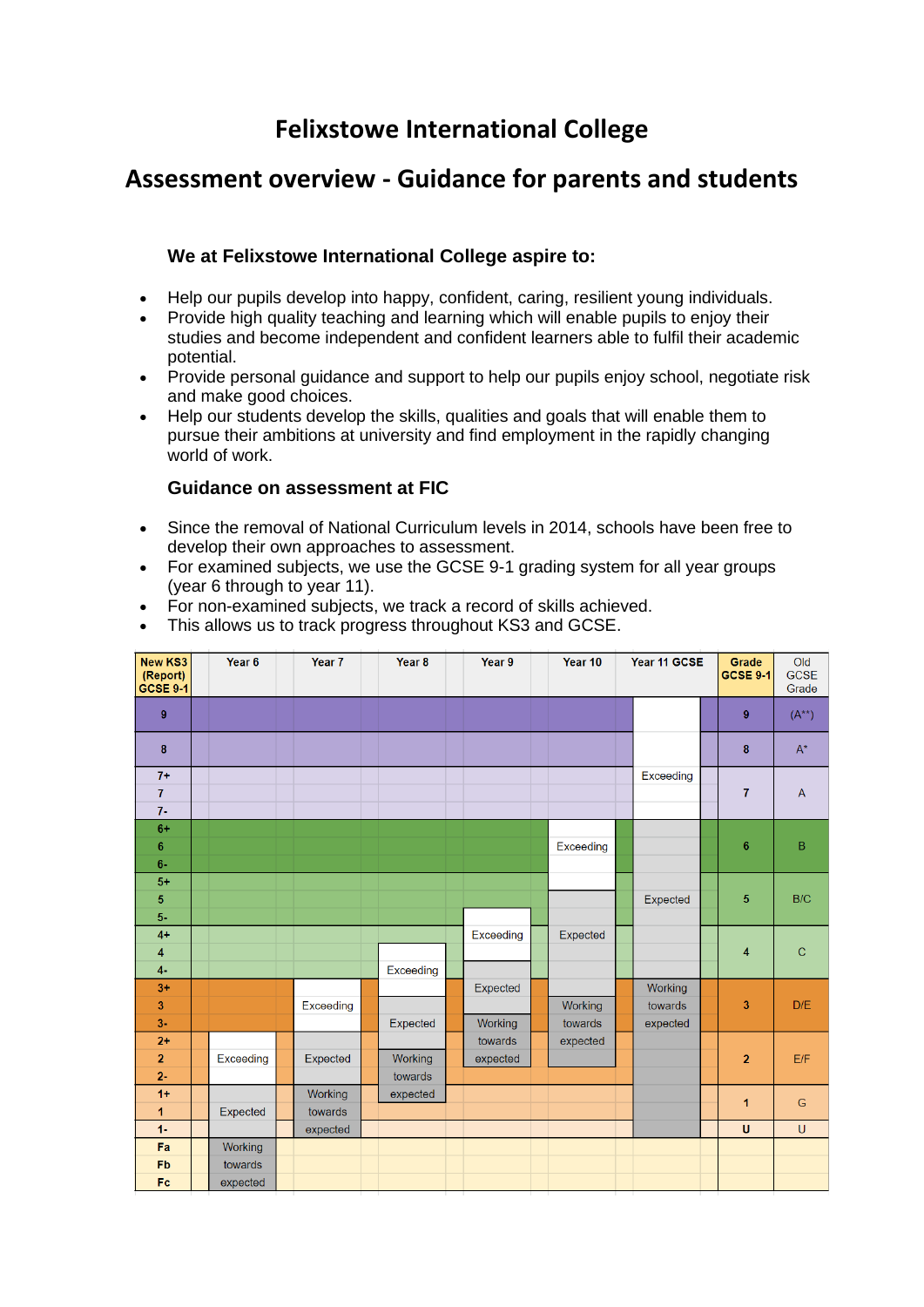# **Felixstowe International College**

## **Assessment overview - Guidance for parents and students**

## **We at Felixstowe International College aspire to:**

- Help our pupils develop into happy, confident, caring, resilient young individuals.
- Provide high quality teaching and learning which will enable pupils to enjoy their studies and become independent and confident learners able to fulfil their academic potential.
- Provide personal guidance and support to help our pupils enjoy school, negotiate risk and make good choices.
- Help our students develop the skills, qualities and goals that will enable them to pursue their ambitions at university and find employment in the rapidly changing world of work.

### **Guidance on assessment at FIC**

- Since the removal of National Curriculum levels in 2014, schools have been free to develop their own approaches to assessment.
- For examined subjects, we use the GCSE 9-1 grading system for all year groups (year 6 through to year 11).
- For non-examined subjects, we track a record of skills achieved.
- This allows us to track progress throughout KS3 and GCSE.

| <b>New KS3</b><br>(Report)<br>GCSE 9-1 | Year 6    | Year <sub>7</sub> | Year <sub>8</sub> | Year 9    | Year 10   | Year 11 GCSE |                    | Grade<br><b>GCSE 9-1</b> | Old<br><b>GCSE</b><br>Grade |                |
|----------------------------------------|-----------|-------------------|-------------------|-----------|-----------|--------------|--------------------|--------------------------|-----------------------------|----------------|
| $\overline{9}$                         |           |                   |                   |           |           |              |                    |                          | 9                           | $(A^{**})$     |
| 8                                      |           |                   |                   |           |           |              |                    |                          | 8                           | $A^*$          |
| $7+$                                   |           |                   |                   |           |           |              | Exceeding          |                          |                             |                |
| $\overline{I}$                         |           |                   |                   |           |           |              |                    |                          | $\overline{I}$              | $\overline{A}$ |
| $7-$<br>$6+$                           |           |                   |                   |           |           |              |                    |                          |                             |                |
| 6                                      |           |                   |                   |           | Exceeding |              |                    |                          | $6\phantom{1}6$             | B              |
| $6-$                                   |           |                   |                   |           |           |              |                    |                          |                             |                |
| $5+$                                   |           |                   |                   |           |           |              |                    |                          |                             |                |
| 5                                      |           |                   |                   |           |           |              | Expected           |                          | 5                           | B/C            |
| 5-                                     |           |                   |                   |           |           |              |                    |                          |                             |                |
| $4+$                                   |           |                   |                   | Exceeding | Expected  |              |                    |                          |                             |                |
| 4                                      |           |                   |                   |           |           |              |                    |                          | 4                           | $\mathbf C$    |
| $4-$                                   |           |                   | Exceeding         |           |           |              |                    |                          |                             |                |
| $3+$<br>3                              |           | Exceeding         |                   | Expected  | Working   |              | Working<br>towards |                          | 3                           | D/E            |
| $3-$                                   |           |                   | Expected          | Working   | towards   |              | expected           |                          |                             |                |
| $2+$                                   |           |                   |                   | towards   | expected  |              |                    |                          |                             |                |
| $\overline{2}$                         | Exceeding | Expected          | Working           | expected  |           |              |                    |                          | $\overline{2}$              | E/F            |
| $2 -$                                  |           |                   | towards           |           |           |              |                    |                          |                             |                |
| $1+$                                   |           | Working           | expected          |           |           |              |                    |                          | 1                           | G              |
| 1                                      | Expected  | towards           |                   |           |           |              |                    |                          |                             |                |
| $1 -$                                  |           | expected          |                   |           |           |              |                    |                          | $\mathbf{U}$                | $\cup$         |
| Fa                                     | Working   |                   |                   |           |           |              |                    |                          |                             |                |
| Fb                                     | towards   |                   |                   |           |           |              |                    |                          |                             |                |
| Fc.                                    | expected  |                   |                   |           |           |              |                    |                          |                             |                |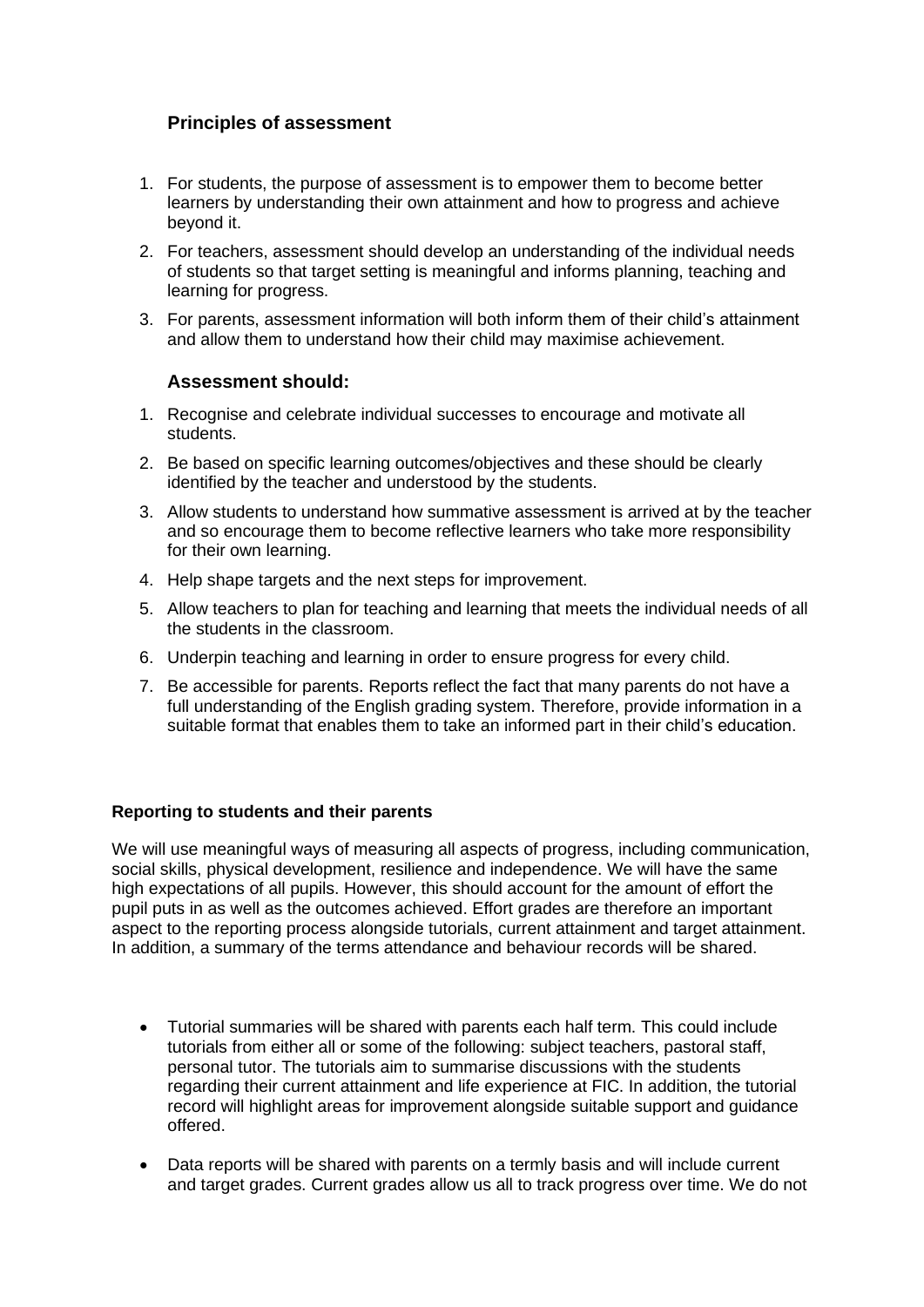## **Principles of assessment**

- 1. For students, the purpose of assessment is to empower them to become better learners by understanding their own attainment and how to progress and achieve beyond it.
- 2. For teachers, assessment should develop an understanding of the individual needs of students so that target setting is meaningful and informs planning, teaching and learning for progress.
- 3. For parents, assessment information will both inform them of their child's attainment and allow them to understand how their child may maximise achievement.

#### **Assessment should:**

- 1. Recognise and celebrate individual successes to encourage and motivate all students.
- 2. Be based on specific learning outcomes/objectives and these should be clearly identified by the teacher and understood by the students.
- 3. Allow students to understand how summative assessment is arrived at by the teacher and so encourage them to become reflective learners who take more responsibility for their own learning.
- 4. Help shape targets and the next steps for improvement.
- 5. Allow teachers to plan for teaching and learning that meets the individual needs of all the students in the classroom.
- 6. Underpin teaching and learning in order to ensure progress for every child.
- 7. Be accessible for parents. Reports reflect the fact that many parents do not have a full understanding of the English grading system. Therefore, provide information in a suitable format that enables them to take an informed part in their child's education.

#### **Reporting to students and their parents**

We will use meaningful ways of measuring all aspects of progress, including communication, social skills, physical development, resilience and independence. We will have the same high expectations of all pupils. However, this should account for the amount of effort the pupil puts in as well as the outcomes achieved. Effort grades are therefore an important aspect to the reporting process alongside tutorials, current attainment and target attainment. In addition, a summary of the terms attendance and behaviour records will be shared.

- Tutorial summaries will be shared with parents each half term. This could include tutorials from either all or some of the following: subject teachers, pastoral staff, personal tutor. The tutorials aim to summarise discussions with the students regarding their current attainment and life experience at FIC. In addition, the tutorial record will highlight areas for improvement alongside suitable support and guidance offered.
- Data reports will be shared with parents on a termly basis and will include current and target grades. Current grades allow us all to track progress over time. We do not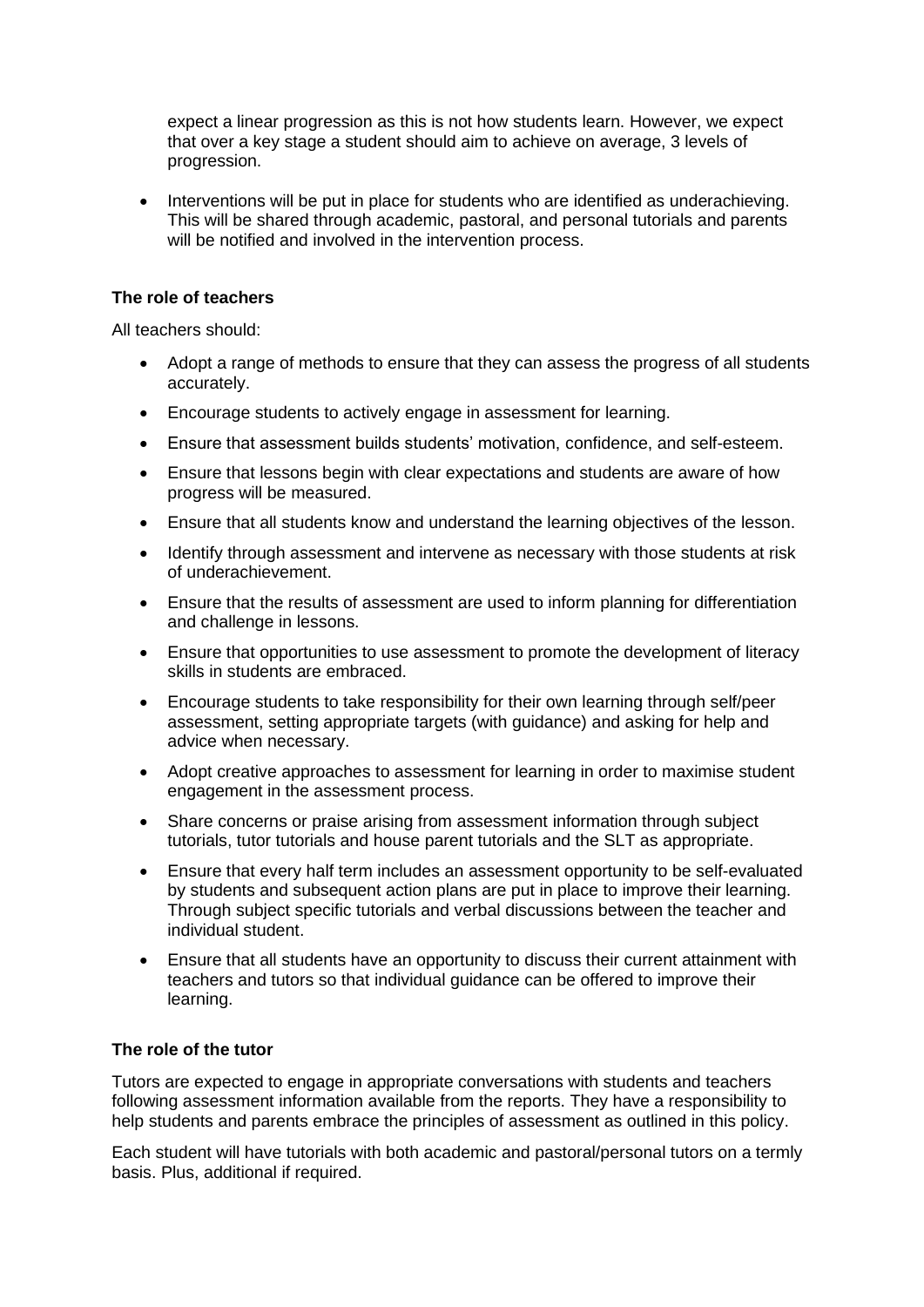expect a linear progression as this is not how students learn. However, we expect that over a key stage a student should aim to achieve on average, 3 levels of progression.

• Interventions will be put in place for students who are identified as underachieving. This will be shared through academic, pastoral, and personal tutorials and parents will be notified and involved in the intervention process.

#### **The role of teachers**

All teachers should:

- Adopt a range of methods to ensure that they can assess the progress of all students accurately.
- Encourage students to actively engage in assessment for learning.
- Ensure that assessment builds students' motivation, confidence, and self-esteem.
- Ensure that lessons begin with clear expectations and students are aware of how progress will be measured.
- Ensure that all students know and understand the learning objectives of the lesson.
- Identify through assessment and intervene as necessary with those students at risk of underachievement.
- Ensure that the results of assessment are used to inform planning for differentiation and challenge in lessons.
- Ensure that opportunities to use assessment to promote the development of literacy skills in students are embraced.
- Encourage students to take responsibility for their own learning through self/peer assessment, setting appropriate targets (with guidance) and asking for help and advice when necessary.
- Adopt creative approaches to assessment for learning in order to maximise student engagement in the assessment process.
- Share concerns or praise arising from assessment information through subject tutorials, tutor tutorials and house parent tutorials and the SLT as appropriate.
- Ensure that every half term includes an assessment opportunity to be self-evaluated by students and subsequent action plans are put in place to improve their learning. Through subject specific tutorials and verbal discussions between the teacher and individual student.
- Ensure that all students have an opportunity to discuss their current attainment with teachers and tutors so that individual guidance can be offered to improve their learning.

#### **The role of the tutor**

Tutors are expected to engage in appropriate conversations with students and teachers following assessment information available from the reports. They have a responsibility to help students and parents embrace the principles of assessment as outlined in this policy.

Each student will have tutorials with both academic and pastoral/personal tutors on a termly basis. Plus, additional if required.